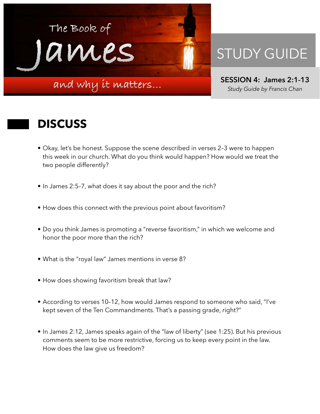

## STUDY GUIDE

**SESSION 4: James 2:1-13**  *Study Guide by Francis Chan*

## **DISCUSS**

- Okay, let's be honest. Suppose the scene described in verses 2–3 were to happen this week in our church. What do you think would happen? How would we treat the two people differently?
- In James 2:5–7, what does it say about the poor and the rich?
- How does this connect with the previous point about favoritism?
- Do you think James is promoting a "reverse favoritism," in which we welcome and honor the poor more than the rich?
- What is the "royal law" James mentions in verse 8?
- How does showing favoritism break that law?
- According to verses 10–12, how would James respond to someone who said, "I've kept seven of the Ten Commandments. That's a passing grade, right?"
- In James 2:12, James speaks again of the "law of liberty" (see 1:25). But his previous comments seem to be more restrictive, forcing us to keep every point in the law. How does the law give us freedom?